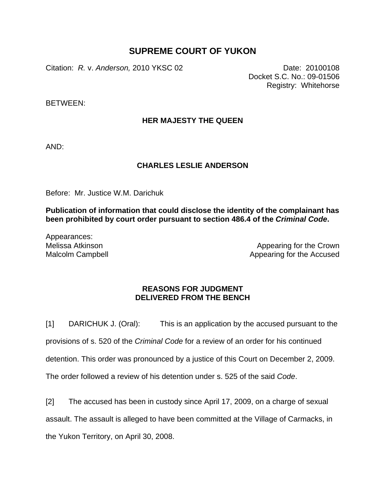## **SUPREME COURT OF YUKON**

Citation: *R.* v. *Anderson,* 2010 YKSC 02 Date: 20100108

Docket S.C. No.: 09-01506 Registry: Whitehorse

BETWEEN:

## **HER MAJESTY THE QUEEN**

AND:

## **CHARLES LESLIE ANDERSON**

Before: Mr. Justice W.M. Darichuk

**Publication of information that could disclose the identity of the complainant has been prohibited by court order pursuant to section 486.4 of the** *Criminal Code***.** 

Appearances: Melissa Atkinson Malcolm Campbell

Appearing for the Crown Appearing for the Accused

## **REASONS FOR JUDGMENT DELIVERED FROM THE BENCH**

[1] DARICHUK J. (Oral): This is an application by the accused pursuant to the provisions of s. 520 of the *Criminal Code* for a review of an order for his continued detention. This order was pronounced by a justice of this Court on December 2, 2009. The order followed a review of his detention under s. 525 of the said *Code*.

[2] The accused has been in custody since April 17, 2009, on a charge of sexual assault. The assault is alleged to have been committed at the Village of Carmacks, in

the Yukon Territory, on April 30, 2008.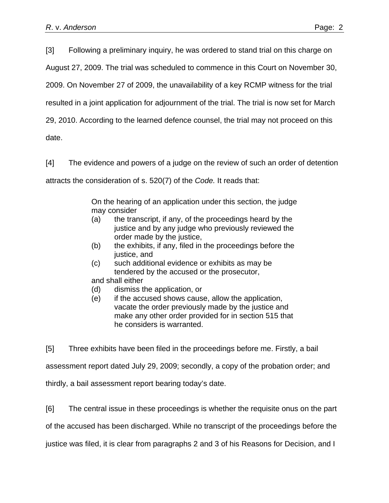[3] Following a preliminary inquiry, he was ordered to stand trial on this charge on

August 27, 2009. The trial was scheduled to commence in this Court on November 30,

2009. On November 27 of 2009, the unavailability of a key RCMP witness for the trial

resulted in a joint application for adjournment of the trial. The trial is now set for March

29, 2010. According to the learned defence counsel, the trial may not proceed on this

date.

[4] The evidence and powers of a judge on the review of such an order of detention

attracts the consideration of s. 520(7) of the *Code.* It reads that:

On the hearing of an application under this section, the judge may consider

- (a) the transcript, if any, of the proceedings heard by the justice and by any judge who previously reviewed the order made by the justice,
- (b) the exhibits, if any, filed in the proceedings before the justice, and
- (c) such additional evidence or exhibits as may be tendered by the accused or the prosecutor,
- and shall either
- (d) dismiss the application, or
- (e) if the accused shows cause, allow the application, vacate the order previously made by the justice and make any other order provided for in section 515 that he considers is warranted.

[5] Three exhibits have been filed in the proceedings before me. Firstly, a bail assessment report dated July 29, 2009; secondly, a copy of the probation order; and

thirdly, a bail assessment report bearing today's date.

[6] The central issue in these proceedings is whether the requisite onus on the part of the accused has been discharged. While no transcript of the proceedings before the justice was filed, it is clear from paragraphs 2 and 3 of his Reasons for Decision, and I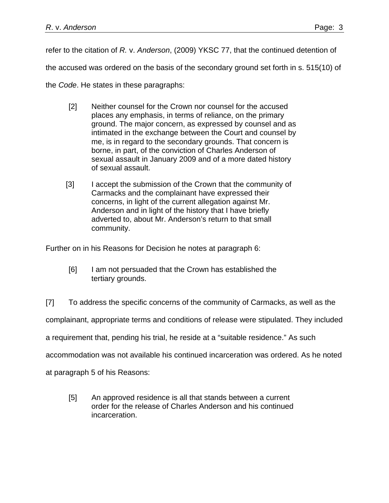refer to the citation of *R.* v. *Anderson*, (2009) YKSC 77, that the continued detention of

the accused was ordered on the basis of the secondary ground set forth in s. 515(10) of

the *Code*. He states in these paragraphs:

- [2] Neither counsel for the Crown nor counsel for the accused places any emphasis, in terms of reliance, on the primary ground. The major concern, as expressed by counsel and as intimated in the exchange between the Court and counsel by me, is in regard to the secondary grounds. That concern is borne, in part, of the conviction of Charles Anderson of sexual assault in January 2009 and of a more dated history of sexual assault.
- [3] I accept the submission of the Crown that the community of Carmacks and the complainant have expressed their concerns, in light of the current allegation against Mr. Anderson and in light of the history that I have briefly adverted to, about Mr. Anderson's return to that small community.

Further on in his Reasons for Decision he notes at paragraph 6:

[6] I am not persuaded that the Crown has established the tertiary grounds.

[7] To address the specific concerns of the community of Carmacks, as well as the

complainant, appropriate terms and conditions of release were stipulated. They included

a requirement that, pending his trial, he reside at a "suitable residence." As such

accommodation was not available his continued incarceration was ordered. As he noted

at paragraph 5 of his Reasons:

[5] An approved residence is all that stands between a current order for the release of Charles Anderson and his continued incarceration.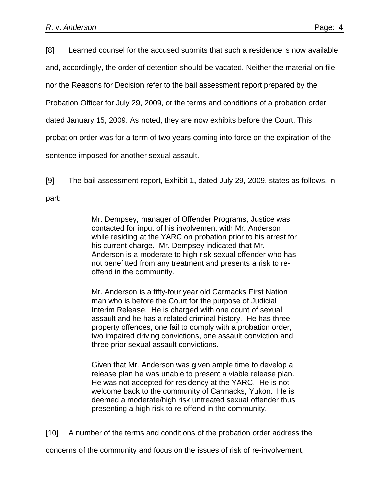[8] Learned counsel for the accused submits that such a residence is now available and, accordingly, the order of detention should be vacated. Neither the material on file nor the Reasons for Decision refer to the bail assessment report prepared by the Probation Officer for July 29, 2009, or the terms and conditions of a probation order dated January 15, 2009. As noted, they are now exhibits before the Court. This probation order was for a term of two years coming into force on the expiration of the sentence imposed for another sexual assault.

[9] The bail assessment report, Exhibit 1, dated July 29, 2009, states as follows, in part:

> Mr. Dempsey, manager of Offender Programs, Justice was contacted for input of his involvement with Mr. Anderson while residing at the YARC on probation prior to his arrest for his current charge. Mr. Dempsey indicated that Mr. Anderson is a moderate to high risk sexual offender who has not benefitted from any treatment and presents a risk to reoffend in the community.

Mr. Anderson is a fifty-four year old Carmacks First Nation man who is before the Court for the purpose of Judicial Interim Release. He is charged with one count of sexual assault and he has a related criminal history. He has three property offences, one fail to comply with a probation order, two impaired driving convictions, one assault conviction and three prior sexual assault convictions.

Given that Mr. Anderson was given ample time to develop a release plan he was unable to present a viable release plan. He was not accepted for residency at the YARC. He is not welcome back to the community of Carmacks, Yukon. He is deemed a moderate/high risk untreated sexual offender thus presenting a high risk to re-offend in the community.

[10] A number of the terms and conditions of the probation order address the

concerns of the community and focus on the issues of risk of re-involvement,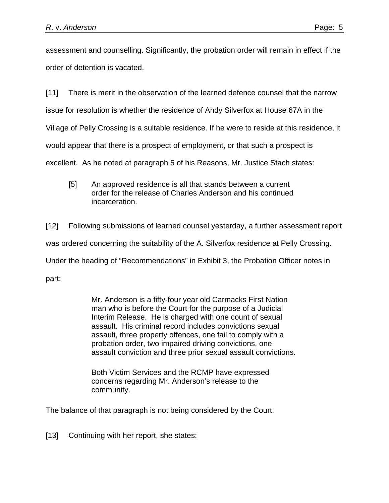assessment and counselling. Significantly, the probation order will remain in effect if the order of detention is vacated.

[11] There is merit in the observation of the learned defence counsel that the narrow issue for resolution is whether the residence of Andy Silverfox at House 67A in the Village of Pelly Crossing is a suitable residence. If he were to reside at this residence, it would appear that there is a prospect of employment, or that such a prospect is excellent. As he noted at paragraph 5 of his Reasons, Mr. Justice Stach states:

[5] An approved residence is all that stands between a current order for the release of Charles Anderson and his continued incarceration.

[12] Following submissions of learned counsel yesterday, a further assessment report was ordered concerning the suitability of the A. Silverfox residence at Pelly Crossing. Under the heading of "Recommendations" in Exhibit 3, the Probation Officer notes in part:

> Mr. Anderson is a fifty-four year old Carmacks First Nation man who is before the Court for the purpose of a Judicial Interim Release. He is charged with one count of sexual assault. His criminal record includes convictions sexual assault, three property offences, one fail to comply with a probation order, two impaired driving convictions, one assault conviction and three prior sexual assault convictions.

Both Victim Services and the RCMP have expressed concerns regarding Mr. Anderson's release to the community.

The balance of that paragraph is not being considered by the Court.

[13] Continuing with her report, she states: